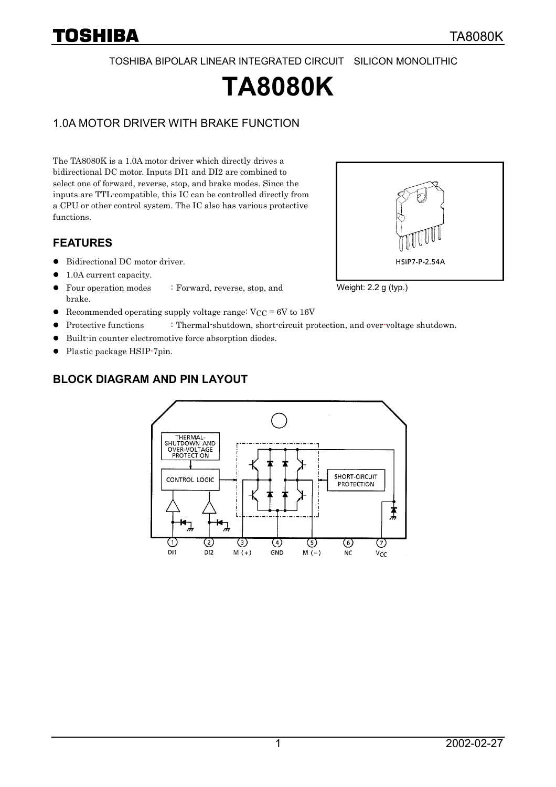# TOSHIBA

TOSHIBA BIPOLAR LINEAR INTEGRATED CIRCUIT SILICON MONOLITHIC

# **TA8080K**

## 1.0A MOTOR DRIVER WITH BRAKE FUNCTION

The TA8080K is a 1.0A motor driver which directly drives a bidirectional DC motor. Inputs DI1 and DI2 are combined to select one of forward, reverse, stop, and brake modes. Since the inputs are TTL-compatible, this IC can be controlled directly from a CPU or other control system. The IC also has various protective functions.

## **FEATURES**

- $\bullet$  Bidirectional DC motor driver.
- 1.0A current capacity.
- Four operation modes : Forward, reverse, stop, and brake.
- Recommended operating supply voltage range:  $V_{CC} = 6V$  to 16V
- Protective functions : Thermal-shutdown, short-circuit protection, and over-voltage shutdown.
- -Built-in counter electromotive force absorption diodes.
- Plastic package HSIP-7pin.



### **BLOCK DIAGRAM AND PIN LAYOUT**



#### Weight: 2.2 g (typ.)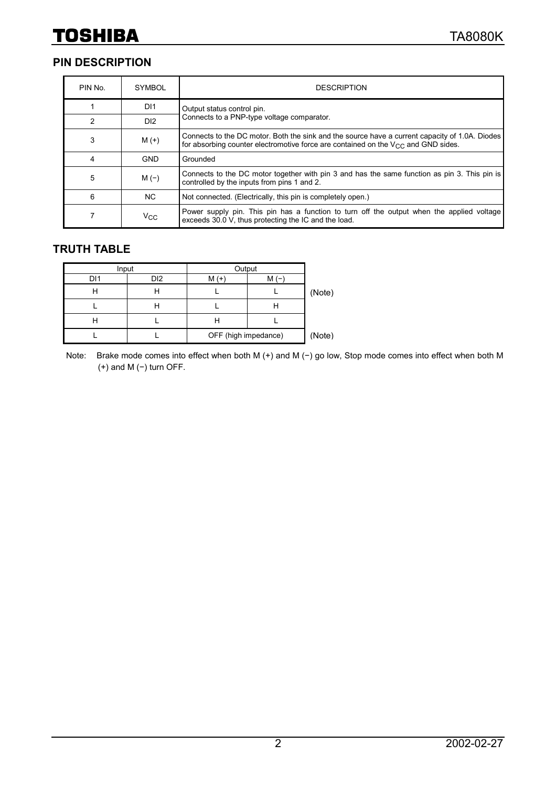## **PIN DESCRIPTION**

| PIN No. | <b>SYMBOL</b>   | <b>DESCRIPTION</b>                                                                                                                                                                       |
|---------|-----------------|------------------------------------------------------------------------------------------------------------------------------------------------------------------------------------------|
|         | D <sub>11</sub> | Output status control pin.                                                                                                                                                               |
| 2       | D <sub>12</sub> | Connects to a PNP-type voltage comparator.                                                                                                                                               |
| 3       | $M (+)$         | Connects to the DC motor. Both the sink and the source have a current capacity of 1.0A. Diodes<br>for absorbing counter electromotive force are contained on the $V_{CC}$ and GND sides. |
| 4       | <b>GND</b>      | Grounded                                                                                                                                                                                 |
| 5       | $M(-)$          | Connects to the DC motor together with pin 3 and has the same function as pin 3. This pin is<br>controlled by the inputs from pins 1 and 2.                                              |
| 6       | NC.             | Not connected. (Electrically, this pin is completely open.)                                                                                                                              |
|         | $V_{\rm CC}$    | Power supply pin. This pin has a function to turn off the output when the applied voltage<br>exceeds 30.0 V, thus protecting the IC and the load.                                        |

## **TRUTH TABLE**

| Input |                 | Output               |        |        |
|-------|-----------------|----------------------|--------|--------|
| DI1   | D <sub>12</sub> | $M$ (+               | М      |        |
| н     |                 |                      |        | (Note) |
|       |                 |                      |        |        |
| Н     |                 | п                    |        |        |
|       |                 | OFF (high impedance) | (Note) |        |

Note: Brake mode comes into effect when both M (+) and M (−) go low, Stop mode comes into effect when both M (+) and M (−) turn OFF.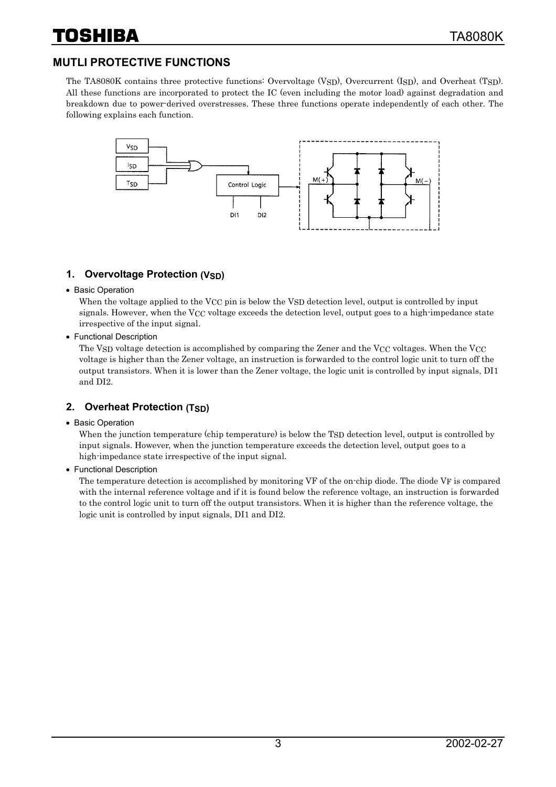## **MUTLI PROTECTIVE FUNCTIONS**

The TA8080K contains three protective functions: Overvoltage (VSD), Overcurrent (ISD), and Overheat (TSD). All these functions are incorporated to protect the IC (even including the motor load) against degradation and breakdown due to power-derived overstresses. These three functions operate independently of each other. The following explains each function.



## **1. Overvoltage Protection (VSD)**

• Basic Operation

When the voltage applied to the VCC pin is below the VSD detection level, output is controlled by input signals. However, when the VCC voltage exceeds the detection level, output goes to a high-impedance state irrespective of the input signal.

• Functional Description

The VSD voltage detection is accomplished by comparing the Zener and the VCC voltages. When the VCC voltage is higher than the Zener voltage, an instruction is forwarded to the control logic unit to turn off the output transistors. When it is lower than the Zener voltage, the logic unit is controlled by input signals, DI1 and DI2.

## **2. Overheat Protection (TSD)**

• Basic Operation

When the junction temperature (chip temperature) is below the TSD detection level, output is controlled by input signals. However, when the junction temperature exceeds the detection level, output goes to a high-impedance state irrespective of the input signal.

• Functional Description

The temperature detection is accomplished by monitoring VF of the on-chip diode. The diode VF is compared with the internal reference voltage and if it is found below the reference voltage, an instruction is forwarded to the control logic unit to turn off the output transistors. When it is higher than the reference voltage, the logic unit is controlled by input signals, DI1 and DI2.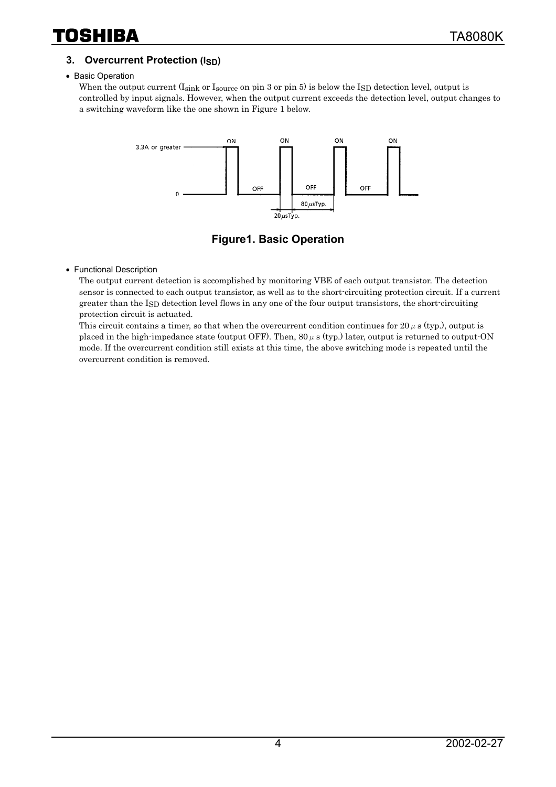## **3. Overcurrent Protection (ISD)**

#### • Basic Operation

When the output current (Isink or Isource on pin 3 or pin 5) is below the ISD detection level, output is controlled by input signals. However, when the output current exceeds the detection level, output changes to a switching waveform like the one shown in Figure 1 below.



**Figure1. Basic Operation** 

#### • Functional Description

The output current detection is accomplished by monitoring VBE of each output transistor. The detection sensor is connected to each output transistor, as well as to the short-circuiting protection circuit. If a current greater than the ISD detection level flows in any one of the four output transistors, the short-circuiting protection circuit is actuated.

This circuit contains a timer, so that when the overcurrent condition continues for 20  $\mu$  s (typ.), output is placed in the high-impedance state (output OFF). Then,  $80 \mu s$  (typ.) later, output is returned to output-ON mode. If the overcurrent condition still exists at this time, the above switching mode is repeated until the overcurrent condition is removed.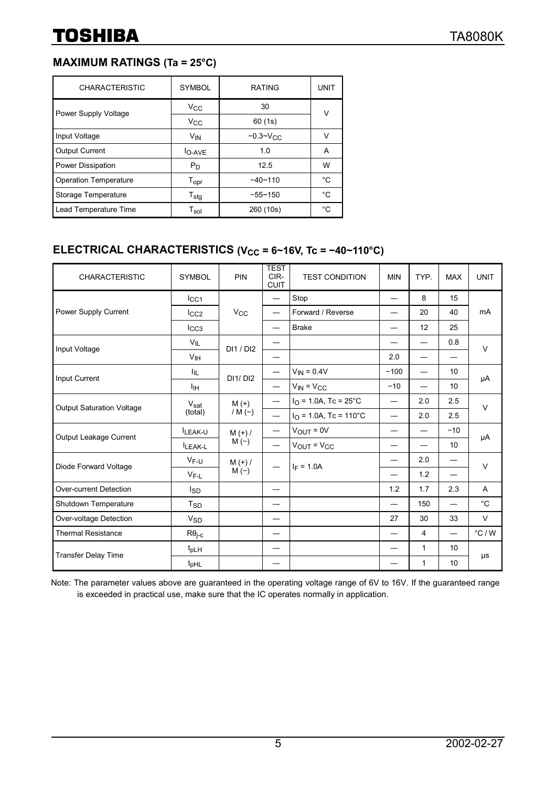## **MAXIMUM RATINGS (Ta = 25°C)**

| <b>CHARACTERISTIC</b>        | <b>SYMBOL</b>               | <b>RATING</b>   | <b>UNIT</b> |  |
|------------------------------|-----------------------------|-----------------|-------------|--|
| Power Supply Voltage         | $V_{\rm CC}$                | 30              | ٧           |  |
|                              | $V_{\rm CC}$                | 60 (1s)         |             |  |
| Input Voltage                | <b>V<sub>IN</sub></b>       | $-0.3 - V_{CC}$ | v           |  |
| <b>Output Current</b>        | $IO-AVE$                    | 1.0             | A           |  |
| Power Dissipation            | $P_D$                       | 12.5            | W           |  |
| <b>Operation Temperature</b> | $\mathsf{T}_{\mathsf{opr}}$ | $-40 - 110$     | °C          |  |
| Storage Temperature          | $T_{\text{stg}}$            | $-55 - 150$     | °C          |  |
| Lead Temperature Time        | $\mathsf{T}_{\mathsf{sol}}$ | 260 (10s)       | °C.         |  |

## **ELECTRICAL CHARACTERISTICS (V<sub>CC</sub> = 6~16V, Tc = −40~110°C)**

| <b>CHARACTERISTIC</b>            | <b>SYMBOL</b>          | PIN                  | <b>TEST</b><br>CIR-<br><b>CUIT</b> | <b>TEST CONDITION</b>    | <b>MIN</b> | TYP.                     | <b>MAX</b>               | <b>UNIT</b>      |
|----------------------------------|------------------------|----------------------|------------------------------------|--------------------------|------------|--------------------------|--------------------------|------------------|
|                                  | $_{\rm lCG1}$          | $V_{\rm CC}$         | $\overline{\phantom{0}}$           | Stop                     |            | 8                        | 15                       | mA               |
| Power Supply Current             | $_{\text{ICC2}}$       |                      |                                    | Forward / Reverse        |            | 20                       | 40                       |                  |
|                                  | $I_{CC3}$              |                      |                                    | <b>Brake</b>             |            | 12                       | 25                       |                  |
|                                  | $V_{IL}$               | DI1/DI2              |                                    |                          |            |                          | 0.8                      | $\vee$           |
| Input Voltage                    | V <sub>IH</sub>        |                      |                                    |                          | 2.0        | $\overline{\phantom{0}}$ | $\overline{\phantom{0}}$ |                  |
| Input Current                    | ŀμ.                    | DI1/ DI2             |                                    | $V_{IN} = 0.4V$          | $-100$     | $\overline{\phantom{0}}$ | 10                       | μA               |
|                                  | Iін                    |                      |                                    | $V_{IN} = V_{CC}$        | $-10$      |                          | 10                       |                  |
|                                  | $V_{\rm sat}$          | $M (+)$<br>/ M $(-)$ |                                    | $IO$ = 1.0A, Tc = 25°C   |            | 2.0                      | 2.5                      | $\vee$           |
| <b>Output Saturation Voltage</b> | (total)                |                      | $\overline{\phantom{0}}$           | $IO = 1.0A$ , Tc = 110°C |            | 2.0                      | 2.5                      |                  |
|                                  | LEAK-U                 | $M (+) /$<br>$M(-)$  |                                    | $V_{OUT} = 0V$           |            |                          | $-10$                    | μA               |
| Output Leakage Current           | LEAK-L                 |                      | $\overline{\phantom{0}}$           | $V_{OUT} = V_{CC}$       |            |                          | 10                       |                  |
| Diode Forward Voltage            | $V_{F-U}$              | $M (+) /$<br>$M(-)$  | $I_F = 1.0A$                       |                          |            | 2.0                      |                          | $\vee$           |
|                                  | $V_{F-L}$              |                      |                                    |                          | 1.2        |                          |                          |                  |
| Over-current Detection           | <b>I</b> <sub>SD</sub> |                      |                                    |                          | 1.2        | 1.7                      | 2.3                      | A                |
| Shutdown Temperature             | T <sub>SD</sub>        |                      |                                    |                          |            | 150                      |                          | $^{\circ}$ C     |
| Over-voltage Detection           | <b>V<sub>SD</sub></b>  |                      | —                                  |                          | 27         | 30                       | 33                       | $\vee$           |
| <b>Thermal Resistance</b>        | $R\theta_{\text{i-c}}$ |                      | —                                  |                          |            | $\overline{4}$           |                          | $^{\circ}$ C / W |
| <b>Transfer Delay Time</b>       | $t_{\text{pLH}}$       |                      |                                    |                          |            | 1                        | 10                       |                  |
|                                  | t <sub>pHL</sub>       |                      |                                    |                          |            | 1                        | 10                       | μs               |

Note: The parameter values above are guaranteed in the operating voltage range of 6V to 16V. If the guaranteed range is exceeded in practical use, make sure that the IC operates normally in application.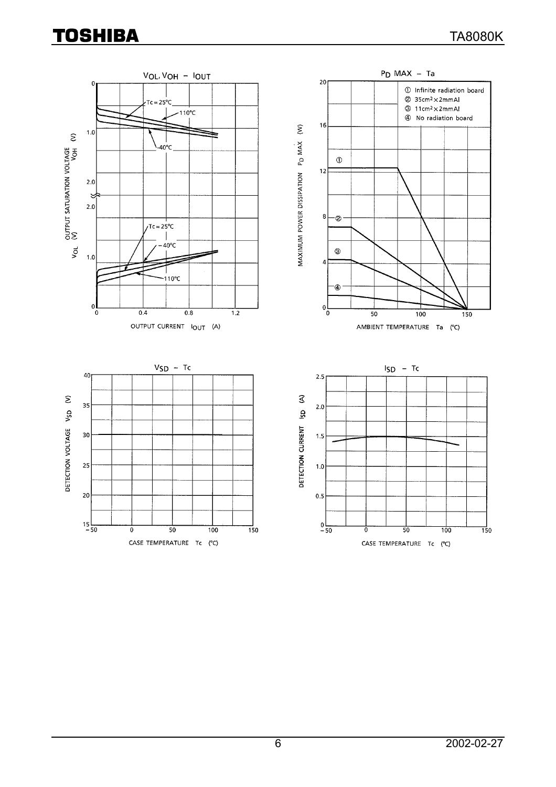# **TOSHIBA**

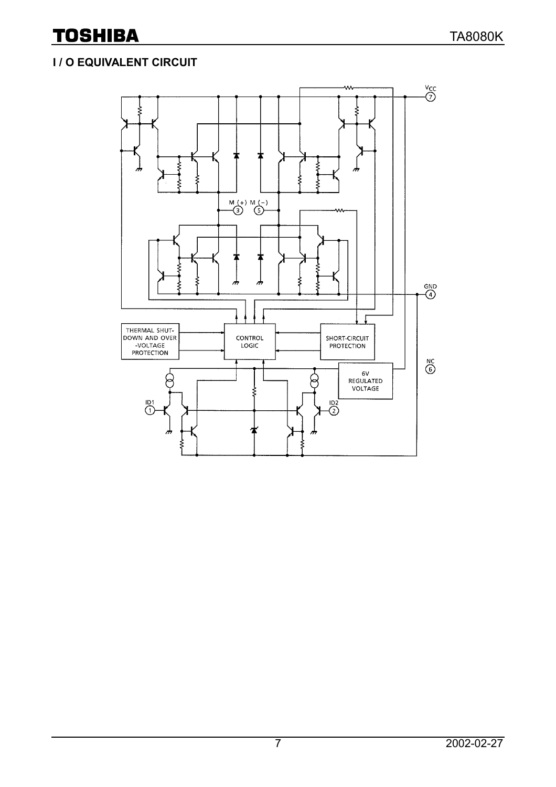## **I / O EQUIVALENT CIRCUIT**

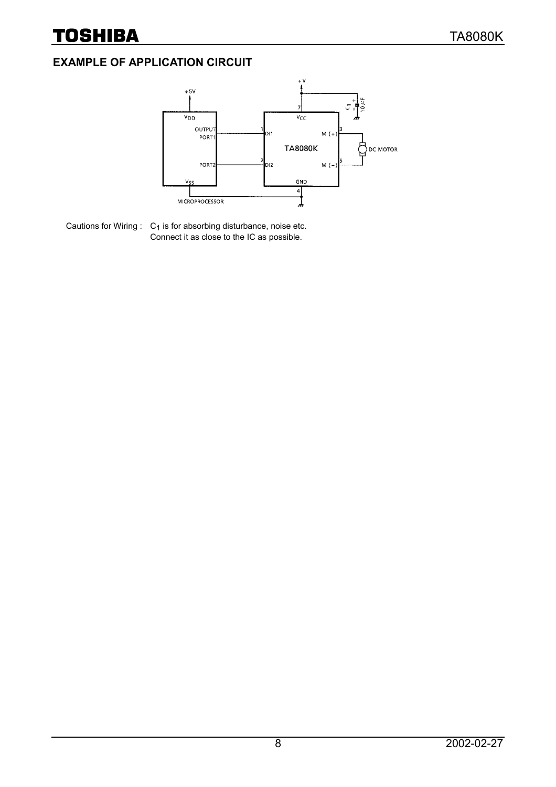## **EXAMPLE OF APPLICATION CIRCUIT**



Cautions for Wiring  $: C_1$  is for absorbing disturbance, noise etc. Connect it as close to the IC as possible.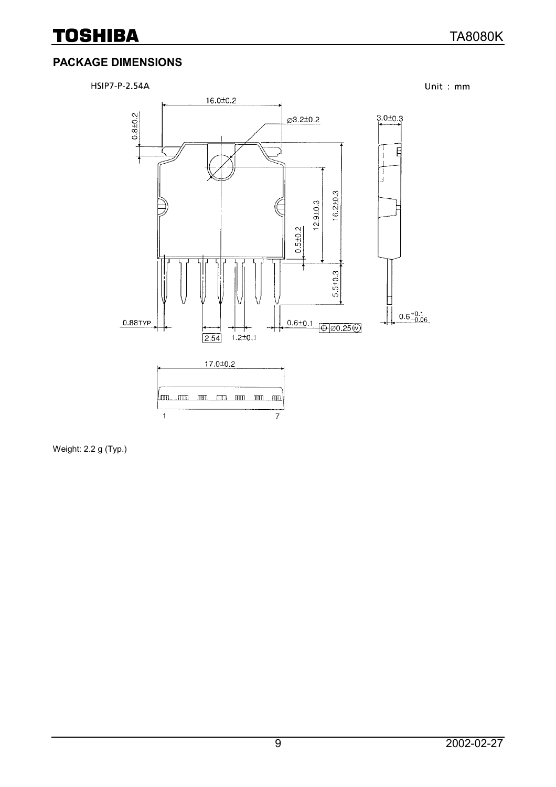## **TOSHIBA**

## **PACKAGE DIMENSIONS**



Weight: 2.2 g (Typ.)